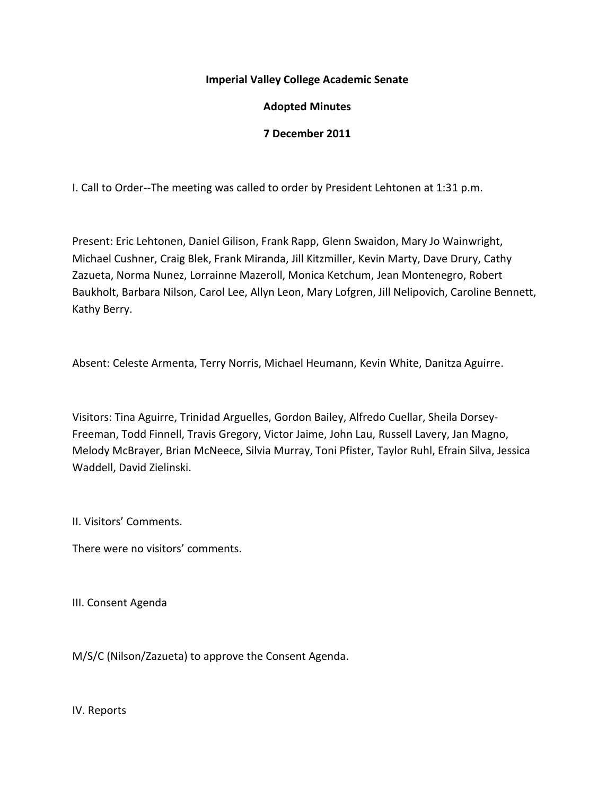## **Imperial Valley College Academic Senate**

# **Adopted Minutes**

## **7 December 2011**

I. Call to Order--The meeting was called to order by President Lehtonen at 1:31 p.m.

Present: Eric Lehtonen, Daniel Gilison, Frank Rapp, Glenn Swaidon, Mary Jo Wainwright, Michael Cushner, Craig Blek, Frank Miranda, Jill Kitzmiller, Kevin Marty, Dave Drury, Cathy Zazueta, Norma Nunez, Lorrainne Mazeroll, Monica Ketchum, Jean Montenegro, Robert Baukholt, Barbara Nilson, Carol Lee, Allyn Leon, Mary Lofgren, Jill Nelipovich, Caroline Bennett, Kathy Berry.

Absent: Celeste Armenta, Terry Norris, Michael Heumann, Kevin White, Danitza Aguirre.

Visitors: Tina Aguirre, Trinidad Arguelles, Gordon Bailey, Alfredo Cuellar, Sheila Dorsey-Freeman, Todd Finnell, Travis Gregory, Victor Jaime, John Lau, Russell Lavery, Jan Magno, Melody McBrayer, Brian McNeece, Silvia Murray, Toni Pfister, Taylor Ruhl, Efrain Silva, Jessica Waddell, David Zielinski.

II. Visitors' Comments.

There were no visitors' comments.

III. Consent Agenda

M/S/C (Nilson/Zazueta) to approve the Consent Agenda.

IV. Reports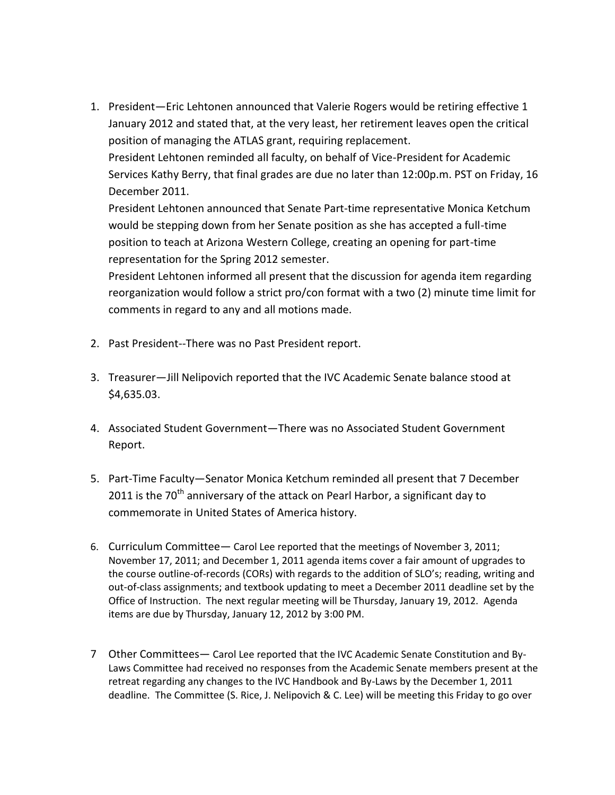1. President—Eric Lehtonen announced that Valerie Rogers would be retiring effective 1 January 2012 and stated that, at the very least, her retirement leaves open the critical position of managing the ATLAS grant, requiring replacement.

President Lehtonen reminded all faculty, on behalf of Vice-President for Academic Services Kathy Berry, that final grades are due no later than 12:00p.m. PST on Friday, 16 December 2011.

President Lehtonen announced that Senate Part-time representative Monica Ketchum would be stepping down from her Senate position as she has accepted a full-time position to teach at Arizona Western College, creating an opening for part-time representation for the Spring 2012 semester.

President Lehtonen informed all present that the discussion for agenda item regarding reorganization would follow a strict pro/con format with a two (2) minute time limit for comments in regard to any and all motions made.

- 2. Past President--There was no Past President report.
- 3. Treasurer—Jill Nelipovich reported that the IVC Academic Senate balance stood at \$4,635.03.
- 4. Associated Student Government—There was no Associated Student Government Report.
- 5. Part-Time Faculty—Senator Monica Ketchum reminded all present that 7 December 2011 is the  $70<sup>th</sup>$  anniversary of the attack on Pearl Harbor, a significant day to commemorate in United States of America history.
- 6. Curriculum Committee— Carol Lee reported that the meetings of November 3, 2011; November 17, 2011; and December 1, 2011 agenda items cover a fair amount of upgrades to the course outline-of-records (CORs) with regards to the addition of SLO's; reading, writing and out-of-class assignments; and textbook updating to meet a December 2011 deadline set by the Office of Instruction. The next regular meeting will be Thursday, January 19, 2012. Agenda items are due by Thursday, January 12, 2012 by 3:00 PM.
- 7 Other Committees— Carol Lee reported that the IVC Academic Senate Constitution and By-Laws Committee had received no responses from the Academic Senate members present at the retreat regarding any changes to the IVC Handbook and By-Laws by the December 1, 2011 deadline. The Committee (S. Rice, J. Nelipovich & C. Lee) will be meeting this Friday to go over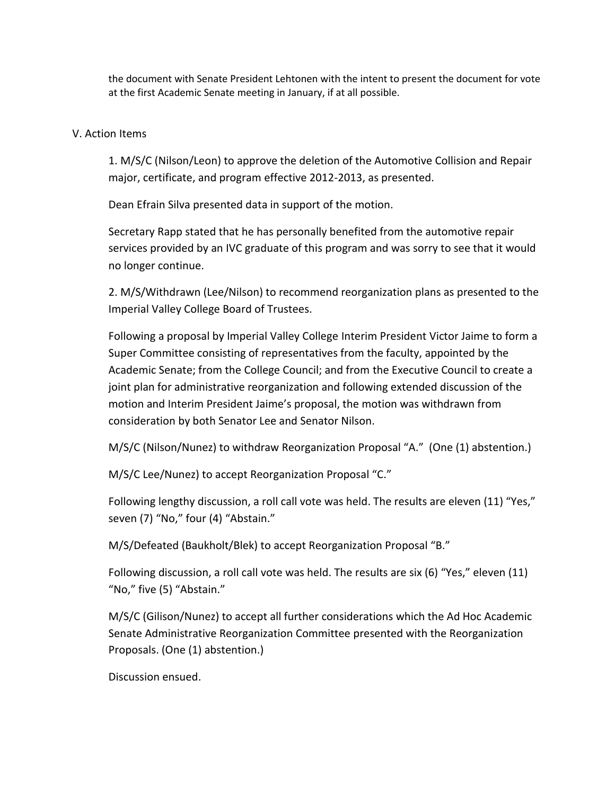the document with Senate President Lehtonen with the intent to present the document for vote at the first Academic Senate meeting in January, if at all possible.

#### V. Action Items

1. M/S/C (Nilson/Leon) to approve the deletion of the Automotive Collision and Repair major, certificate, and program effective 2012-2013, as presented.

Dean Efrain Silva presented data in support of the motion.

Secretary Rapp stated that he has personally benefited from the automotive repair services provided by an IVC graduate of this program and was sorry to see that it would no longer continue.

2. M/S/Withdrawn (Lee/Nilson) to recommend reorganization plans as presented to the Imperial Valley College Board of Trustees.

Following a proposal by Imperial Valley College Interim President Victor Jaime to form a Super Committee consisting of representatives from the faculty, appointed by the Academic Senate; from the College Council; and from the Executive Council to create a joint plan for administrative reorganization and following extended discussion of the motion and Interim President Jaime's proposal, the motion was withdrawn from consideration by both Senator Lee and Senator Nilson.

M/S/C (Nilson/Nunez) to withdraw Reorganization Proposal "A." (One (1) abstention.)

M/S/C Lee/Nunez) to accept Reorganization Proposal "C."

Following lengthy discussion, a roll call vote was held. The results are eleven (11) "Yes," seven (7) "No," four (4) "Abstain."

M/S/Defeated (Baukholt/Blek) to accept Reorganization Proposal "B."

Following discussion, a roll call vote was held. The results are six (6) "Yes," eleven (11) "No," five (5) "Abstain."

M/S/C (Gilison/Nunez) to accept all further considerations which the Ad Hoc Academic Senate Administrative Reorganization Committee presented with the Reorganization Proposals. (One (1) abstention.)

Discussion ensued.